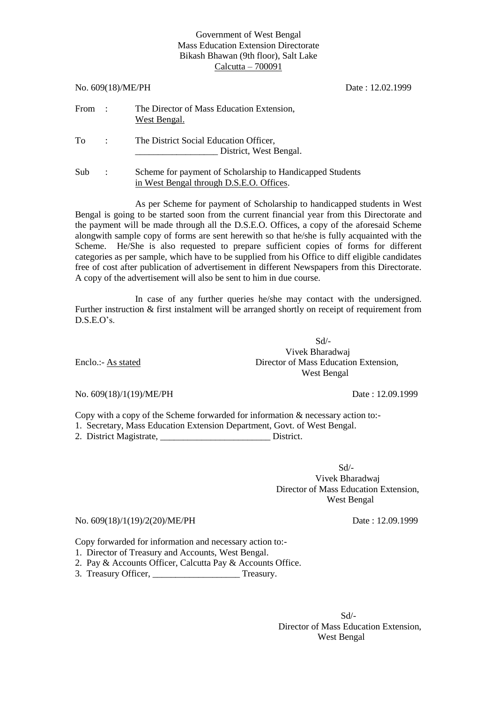### Government of West Bengal Mass Education Extension Directorate Bikash Bhawan (9th floor), Salt Lake Calcutta – 700091

|            | No. 609(18)/ME/PH | Date: 12.02.1999                                                                                      |  |
|------------|-------------------|-------------------------------------------------------------------------------------------------------|--|
| From :     |                   | The Director of Mass Education Extension,<br>West Bengal.                                             |  |
| To         | $\sim$ 1.         | The District Social Education Officer,<br>District, West Bengal.                                      |  |
| <b>Sub</b> | $\ddot{\cdot}$    | Scheme for payment of Scholarship to Handicapped Students<br>in West Bengal through D.S.E.O. Offices. |  |

As per Scheme for payment of Scholarship to handicapped students in West Bengal is going to be started soon from the current financial year from this Directorate and the payment will be made through all the D.S.E.O. Offices, a copy of the aforesaid Scheme alongwith sample copy of forms are sent herewith so that he/she is fully acquainted with the Scheme. He/She is also requested to prepare sufficient copies of forms for different categories as per sample, which have to be supplied from his Office to diff eligible candidates free of cost after publication of advertisement in different Newspapers from this Directorate. A copy of the advertisement will also be sent to him in due course.

In case of any further queries he/she may contact with the undersigned. Further instruction & first instalment will be arranged shortly on receipt of requirement from D.S.E.O's.

Sd/- Vivek Bharadwaj Enclo.:- As stated Director of Mass Education Extension, West Bengal

No. 609(18)/1(19)/ME/PH Date: 12.09.1999

Copy with a copy of the Scheme forwarded for information & necessary action to:-

1. Secretary, Mass Education Extension Department, Govt. of West Bengal.

2. District Magistrate, \_\_\_\_\_\_\_\_\_\_\_\_\_\_\_\_\_\_\_\_\_\_\_\_ District.

 Sd/- Vivek Bharadwaj Director of Mass Education Extension, West Bengal

No. 609(18)/1(19)/2(20)/ME/PH Date: 12.09.1999

Copy forwarded for information and necessary action to:-

- 1. Director of Treasury and Accounts, West Bengal.
- 2. Pay & Accounts Officer, Calcutta Pay & Accounts Office.
- 3. Treasury Officer, Treasury.

 Sd/- Director of Mass Education Extension, West Bengal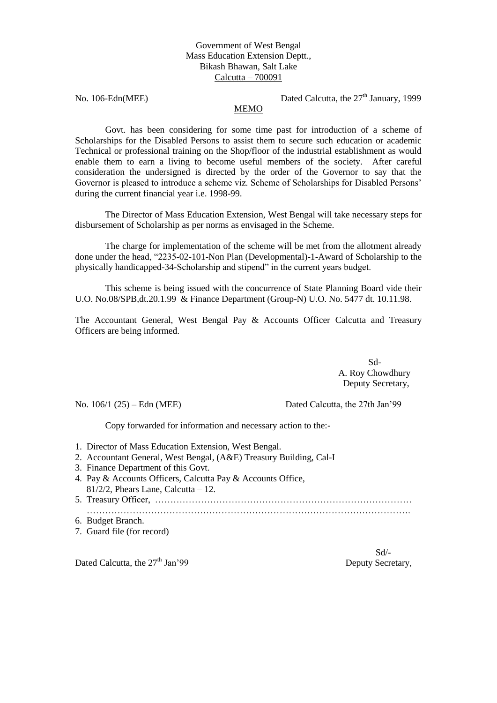# Government of West Bengal Mass Education Extension Deptt., Bikash Bhawan, Salt Lake Calcutta – 700091

No. 106-Edn(MEE) Dated Calcutta, the 27<sup>th</sup> January, 1999

## MEMO

Govt. has been considering for some time past for introduction of a scheme of Scholarships for the Disabled Persons to assist them to secure such education or academic Technical or professional training on the Shop/floor of the industrial establishment as would enable them to earn a living to become useful members of the society. After careful consideration the undersigned is directed by the order of the Governor to say that the Governor is pleased to introduce a scheme viz. Scheme of Scholarships for Disabled Persons' during the current financial year i.e. 1998-99.

The Director of Mass Education Extension, West Bengal will take necessary steps for disbursement of Scholarship as per norms as envisaged in the Scheme.

The charge for implementation of the scheme will be met from the allotment already done under the head, "2235-02-101-Non Plan (Developmental)-1-Award of Scholarship to the physically handicapped-34-Scholarship and stipend" in the current years budget.

This scheme is being issued with the concurrence of State Planning Board vide their U.O. No.08/SPB,dt.20.1.99 & Finance Department (Group-N) U.O. No. 5477 dt. 10.11.98.

The Accountant General, West Bengal Pay & Accounts Officer Calcutta and Treasury Officers are being informed.

> Sd- A. Roy Chowdhury Deputy Secretary,

No. 106/1 (25) – Edn (MEE) Dated Calcutta, the 27th Jan'99

Copy forwarded for information and necessary action to the:-

- 1. Director of Mass Education Extension, West Bengal.
- 2. Accountant General, West Bengal, (A&E) Treasury Building, Cal-I
- 3. Finance Department of this Govt.
- 4. Pay & Accounts Officers, Calcutta Pay & Accounts Office,  $81/2/2$ , Phears Lane, Calcutta – 12.
- 5. Treasury Officer, ………………………………………………………………………… …………………………………………………………………………………………….
- 6. Budget Branch.
- 7. Guard file (for record)

Dated Calcutta, the  $27<sup>th</sup>$  Jan'99

Sd/-<br>Deputy Secretary,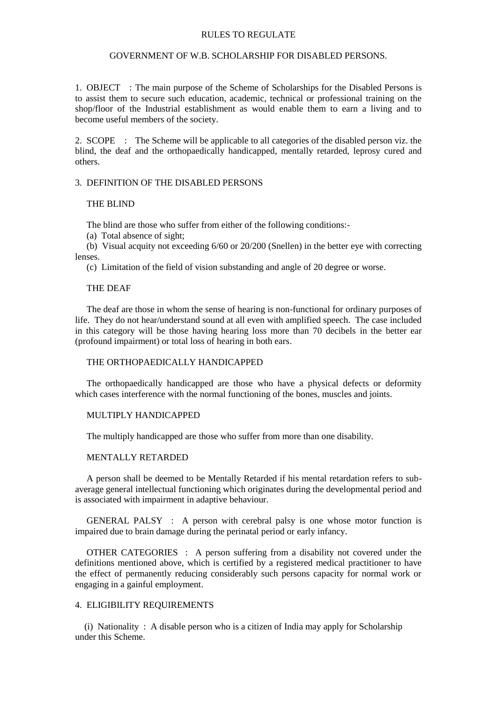#### RULES TO REGULATE

#### GOVERNMENT OF W.B. SCHOLARSHIP FOR DISABLED PERSONS.

1. OBJECT : The main purpose of the Scheme of Scholarships for the Disabled Persons is to assist them to secure such education, academic, technical or professional training on the shop/floor of the Industrial establishment as would enable them to earn a living and to become useful members of the society.

2. SCOPE : The Scheme will be applicable to all categories of the disabled person viz. the blind, the deaf and the orthopaedically handicapped, mentally retarded, leprosy cured and others.

### 3. DEFINITION OF THE DISABLED PERSONS

#### THE BLIND

The blind are those who suffer from either of the following conditions:-

(a) Total absence of sight;

 (b) Visual acquity not exceeding 6/60 or 20/200 (Snellen) in the better eye with correcting lenses.

(c) Limitation of the field of vision substanding and angle of 20 degree or worse.

#### THE DEAF

 The deaf are those in whom the sense of hearing is non-functional for ordinary purposes of life. They do not hear/understand sound at all even with amplified speech. The case included in this category will be those having hearing loss more than 70 decibels in the better ear (profound impairment) or total loss of hearing in both ears.

## THE ORTHOPAEDICALLY HANDICAPPED

 The orthopaedically handicapped are those who have a physical defects or deformity which cases interference with the normal functioning of the bones, muscles and joints.

### MULTIPLY HANDICAPPED

The multiply handicapped are those who suffer from more than one disability.

### MENTALLY RETARDED

 A person shall be deemed to be Mentally Retarded if his mental retardation refers to subaverage general intellectual functioning which originates during the developmental period and is associated with impairment in adaptive behaviour.

 GENERAL PALSY : A person with cerebral palsy is one whose motor function is impaired due to brain damage during the perinatal period or early infancy.

 OTHER CATEGORIES : A person suffering from a disability not covered under the definitions mentioned above, which is certified by a registered medical practitioner to have the effect of permanently reducing considerably such persons capacity for normal work or engaging in a gainful employment.

# 4. ELIGIBILITY REQUIREMENTS

 (i) Nationality : A disable person who is a citizen of India may apply for Scholarship under this Scheme.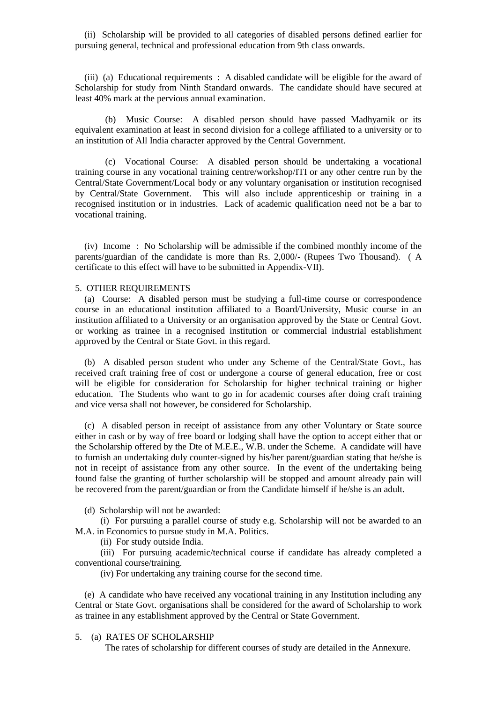(ii) Scholarship will be provided to all categories of disabled persons defined earlier for pursuing general, technical and professional education from 9th class onwards.

 (iii) (a) Educational requirements : A disabled candidate will be eligible for the award of Scholarship for study from Ninth Standard onwards. The candidate should have secured at least 40% mark at the pervious annual examination.

(b) Music Course: A disabled person should have passed Madhyamik or its equivalent examination at least in second division for a college affiliated to a university or to an institution of All India character approved by the Central Government.

(c) Vocational Course: A disabled person should be undertaking a vocational training course in any vocational training centre/workshop/ITI or any other centre run by the Central/State Government/Local body or any voluntary organisation or institution recognised by Central/State Government. This will also include apprenticeship or training in a recognised institution or in industries. Lack of academic qualification need not be a bar to vocational training.

 (iv) Income : No Scholarship will be admissible if the combined monthly income of the parents/guardian of the candidate is more than Rs. 2,000/- (Rupees Two Thousand). ( A certificate to this effect will have to be submitted in Appendix-VII).

### 5. OTHER REQUIREMENTS

 (a) Course: A disabled person must be studying a full-time course or correspondence course in an educational institution affiliated to a Board/University, Music course in an institution affiliated to a University or an organisation approved by the State or Central Govt. or working as trainee in a recognised institution or commercial industrial establishment approved by the Central or State Govt. in this regard.

 (b) A disabled person student who under any Scheme of the Central/State Govt., has received craft training free of cost or undergone a course of general education, free or cost will be eligible for consideration for Scholarship for higher technical training or higher education. The Students who want to go in for academic courses after doing craft training and vice versa shall not however, be considered for Scholarship.

 (c) A disabled person in receipt of assistance from any other Voluntary or State source either in cash or by way of free board or lodging shall have the option to accept either that or the Scholarship offered by the Dte of M.E.E., W.B. under the Scheme. A candidate will have to furnish an undertaking duly counter-signed by his/her parent/guardian stating that he/she is not in receipt of assistance from any other source. In the event of the undertaking being found false the granting of further scholarship will be stopped and amount already pain will be recovered from the parent/guardian or from the Candidate himself if he/she is an adult.

(d) Scholarship will not be awarded:

 (i) For pursuing a parallel course of study e.g. Scholarship will not be awarded to an M.A. in Economics to pursue study in M.A. Politics.

(ii) For study outside India.

 (iii) For pursuing academic/technical course if candidate has already completed a conventional course/training.

(iv) For undertaking any training course for the second time.

 (e) A candidate who have received any vocational training in any Institution including any Central or State Govt. organisations shall be considered for the award of Scholarship to work as trainee in any establishment approved by the Central or State Government.

## 5. (a) RATES OF SCHOLARSHIP

The rates of scholarship for different courses of study are detailed in the Annexure.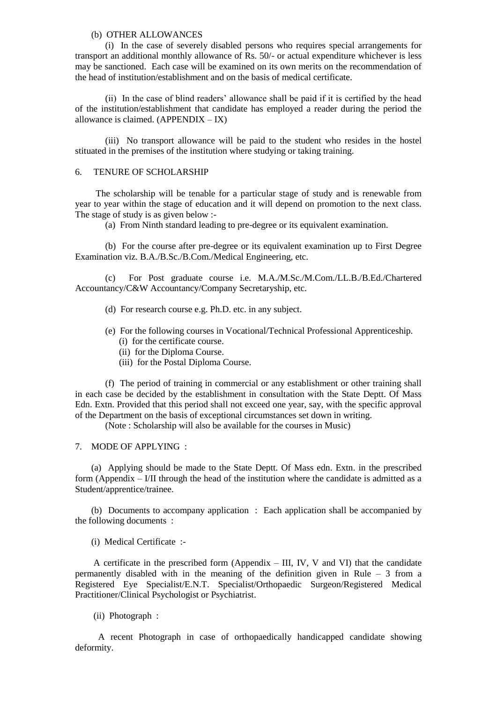### (b) OTHER ALLOWANCES

(i) In the case of severely disabled persons who requires special arrangements for transport an additional monthly allowance of Rs. 50/- or actual expenditure whichever is less may be sanctioned. Each case will be examined on its own merits on the recommendation of the head of institution/establishment and on the basis of medical certificate.

(ii) In the case of blind readers' allowance shall be paid if it is certified by the head of the institution/establishment that candidate has employed a reader during the period the allowance is claimed.  $(APPENDIX - IX)$ 

(iii) No transport allowance will be paid to the student who resides in the hostel stituated in the premises of the institution where studying or taking training.

### 6. TENURE OF SCHOLARSHIP

 The scholarship will be tenable for a particular stage of study and is renewable from year to year within the stage of education and it will depend on promotion to the next class. The stage of study is as given below :-

(a) From Ninth standard leading to pre-degree or its equivalent examination.

(b) For the course after pre-degree or its equivalent examination up to First Degree Examination viz. B.A./B.Sc./B.Com./Medical Engineering, etc.

(c) For Post graduate course i.e. M.A./M.Sc./M.Com./LL.B./B.Ed./Chartered Accountancy/C&W Accountancy/Company Secretaryship, etc.

- (d) For research course e.g. Ph.D. etc. in any subject.
- (e) For the following courses in Vocational/Technical Professional Apprenticeship.
	- (i) for the certificate course.
	- (ii) for the Diploma Course.
	- (iii) for the Postal Diploma Course.

(f) The period of training in commercial or any establishment or other training shall in each case be decided by the establishment in consultation with the State Deptt. Of Mass Edn. Extn. Provided that this period shall not exceed one year, say, with the specific approval of the Department on the basis of exceptional circumstances set down in writing.

(Note : Scholarship will also be available for the courses in Music)

### 7. MODE OF APPLYING :

 (a) Applying should be made to the State Deptt. Of Mass edn. Extn. in the prescribed form (Appendix – I/II through the head of the institution where the candidate is admitted as a Student/apprentice/trainee.

 (b) Documents to accompany application : Each application shall be accompanied by the following documents :

(i) Medical Certificate :-

A certificate in the prescribed form (Appendix – III, IV, V and VI) that the candidate permanently disabled with in the meaning of the definition given in Rule – 3 from a Registered Eye Specialist/E.N.T. Specialist/Orthopaedic Surgeon/Registered Medical Practitioner/Clinical Psychologist or Psychiatrist.

(ii) Photograph :

 A recent Photograph in case of orthopaedically handicapped candidate showing deformity.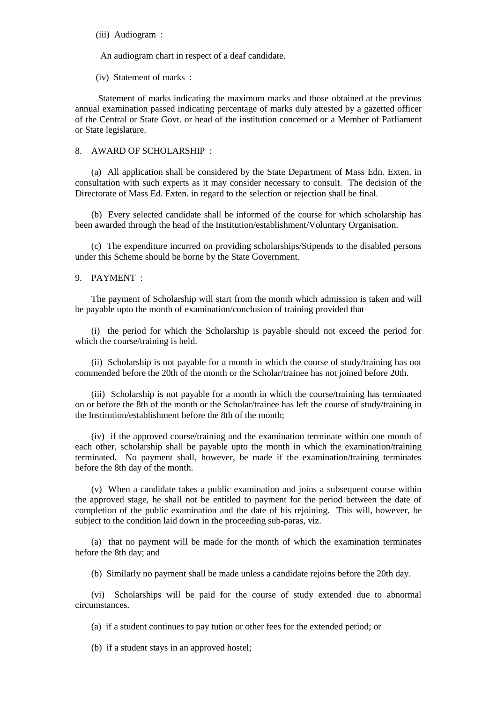(iii) Audiogram :

An audiogram chart in respect of a deaf candidate.

(iv) Statement of marks :

 Statement of marks indicating the maximum marks and those obtained at the previous annual examination passed indicating percentage of marks duly attested by a gazetted officer of the Central or State Govt. or head of the institution concerned or a Member of Parliament or State legislature.

### 8. AWARD OF SCHOLARSHIP :

 (a) All application shall be considered by the State Department of Mass Edn. Exten. in consultation with such experts as it may consider necessary to consult. The decision of the Directorate of Mass Ed. Exten. in regard to the selection or rejection shall be final.

 (b) Every selected candidate shall be informed of the course for which scholarship has been awarded through the head of the Institution/establishment/Voluntary Organisation.

 (c) The expenditure incurred on providing scholarships/Stipends to the disabled persons under this Scheme should be borne by the State Government.

### 9. PAYMENT :

 The payment of Scholarship will start from the month which admission is taken and will be payable upto the month of examination/conclusion of training provided that  $-$ 

 (i) the period for which the Scholarship is payable should not exceed the period for which the course/training is held.

 (ii) Scholarship is not payable for a month in which the course of study/training has not commended before the 20th of the month or the Scholar/trainee has not joined before 20th.

 (iii) Scholarship is not payable for a month in which the course/training has terminated on or before the 8th of the month or the Scholar/trainee has left the course of study/training in the Institution/establishment before the 8th of the month;

 (iv) if the approved course/training and the examination terminate within one month of each other, scholarship shall be payable upto the month in which the examination/training terminated. No payment shall, however, be made if the examination/training terminates before the 8th day of the month.

 (v) When a candidate takes a public examination and joins a subsequent course within the approved stage, he shall not be entitled to payment for the period between the date of completion of the public examination and the date of his rejoining. This will, however, be subject to the condition laid down in the proceeding sub-paras, viz.

 (a) that no payment will be made for the month of which the examination terminates before the 8th day; and

(b) Similarly no payment shall be made unless a candidate rejoins before the 20th day.

 (vi) Scholarships will be paid for the course of study extended due to abnormal circumstances.

(a) if a student continues to pay tution or other fees for the extended period; or

(b) if a student stays in an approved hostel;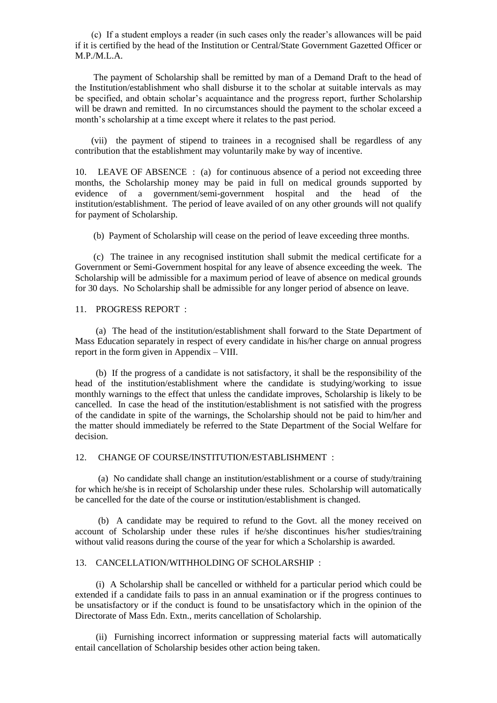(c) If a student employs a reader (in such cases only the reader's allowances will be paid if it is certified by the head of the Institution or Central/State Government Gazetted Officer or M.P./M.L.A.

 The payment of Scholarship shall be remitted by man of a Demand Draft to the head of the Institution/establishment who shall disburse it to the scholar at suitable intervals as may be specified, and obtain scholar's acquaintance and the progress report, further Scholarship will be drawn and remitted. In no circumstances should the payment to the scholar exceed a month's scholarship at a time except where it relates to the past period.

 (vii) the payment of stipend to trainees in a recognised shall be regardless of any contribution that the establishment may voluntarily make by way of incentive.

10. LEAVE OF ABSENCE : (a) for continuous absence of a period not exceeding three months, the Scholarship money may be paid in full on medical grounds supported by evidence of a government/semi-government hospital and the head of the institution/establishment. The period of leave availed of on any other grounds will not qualify for payment of Scholarship.

(b) Payment of Scholarship will cease on the period of leave exceeding three months.

 (c) The trainee in any recognised institution shall submit the medical certificate for a Government or Semi-Government hospital for any leave of absence exceeding the week. The Scholarship will be admissible for a maximum period of leave of absence on medical grounds for 30 days. No Scholarship shall be admissible for any longer period of absence on leave.

11. PROGRESS REPORT :

 (a) The head of the institution/establishment shall forward to the State Department of Mass Education separately in respect of every candidate in his/her charge on annual progress report in the form given in Appendix – VIII.

 (b) If the progress of a candidate is not satisfactory, it shall be the responsibility of the head of the institution/establishment where the candidate is studying/working to issue monthly warnings to the effect that unless the candidate improves, Scholarship is likely to be cancelled. In case the head of the institution/establishment is not satisfied with the progress of the candidate in spite of the warnings, the Scholarship should not be paid to him/her and the matter should immediately be referred to the State Department of the Social Welfare for decision.

12. CHANGE OF COURSE/INSTITUTION/ESTABLISHMENT :

 (a) No candidate shall change an institution/establishment or a course of study/training for which he/she is in receipt of Scholarship under these rules. Scholarship will automatically be cancelled for the date of the course or institution/establishment is changed.

 (b) A candidate may be required to refund to the Govt. all the money received on account of Scholarship under these rules if he/she discontinues his/her studies/training without valid reasons during the course of the year for which a Scholarship is awarded.

### 13. CANCELLATION/WITHHOLDING OF SCHOLARSHIP :

 (i) A Scholarship shall be cancelled or withheld for a particular period which could be extended if a candidate fails to pass in an annual examination or if the progress continues to be unsatisfactory or if the conduct is found to be unsatisfactory which in the opinion of the Directorate of Mass Edn. Extn., merits cancellation of Scholarship.

 (ii) Furnishing incorrect information or suppressing material facts will automatically entail cancellation of Scholarship besides other action being taken.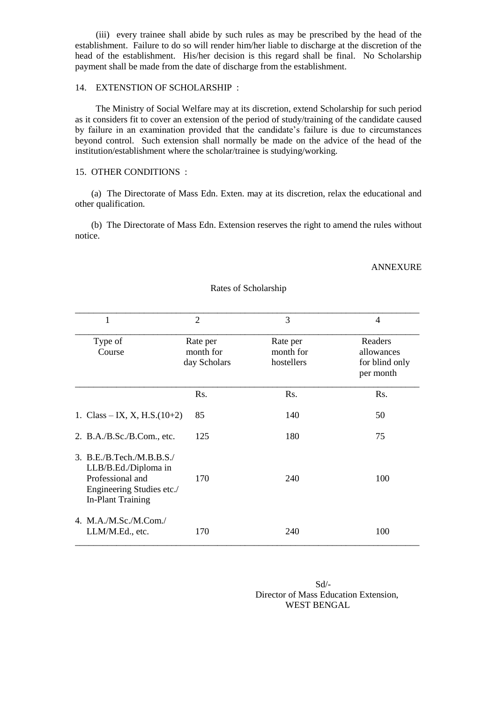(iii) every trainee shall abide by such rules as may be prescribed by the head of the establishment. Failure to do so will render him/her liable to discharge at the discretion of the head of the establishment. His/her decision is this regard shall be final. No Scholarship payment shall be made from the date of discharge from the establishment.

# 14. EXTENSTION OF SCHOLARSHIP :

 The Ministry of Social Welfare may at its discretion, extend Scholarship for such period as it considers fit to cover an extension of the period of study/training of the candidate caused by failure in an examination provided that the candidate's failure is due to circumstances beyond control. Such extension shall normally be made on the advice of the head of the institution/establishment where the scholar/trainee is studying/working.

## 15. OTHER CONDITIONS :

 (a) The Directorate of Mass Edn. Exten. may at its discretion, relax the educational and other qualification.

 (b) The Directorate of Mass Edn. Extension reserves the right to amend the rules without notice.

#### ANNEXURE

| 1                                                                                                                            | $\mathfrak{D}$                        | 3                                   | $\overline{4}$                                       |  |
|------------------------------------------------------------------------------------------------------------------------------|---------------------------------------|-------------------------------------|------------------------------------------------------|--|
| Type of<br>Course                                                                                                            | Rate per<br>month for<br>day Scholars | Rate per<br>month for<br>hostellers | Readers<br>allowances<br>for blind only<br>per month |  |
|                                                                                                                              | Rs.                                   | Rs.                                 | Rs.                                                  |  |
| 1. Class – IX, X, H.S. $(10+2)$                                                                                              | 85                                    | 140                                 | 50                                                   |  |
| 2. B.A./B.Sc./B.Com., etc.                                                                                                   | 125                                   | 180                                 | 75                                                   |  |
| 3. B.E.B.Tech.M.B.B.S.'<br>LLB/B.Ed./Diploma in<br>Professional and<br>Engineering Studies etc./<br><b>In-Plant Training</b> | 170                                   | 240                                 | 100                                                  |  |
| 4. M.A./M.Sc./M.Com./<br>LLM/M.Ed., etc.                                                                                     | 170                                   | 240                                 | 100                                                  |  |

### Rates of Scholarship

Sd/- Director of Mass Education Extension, WEST BENGAL